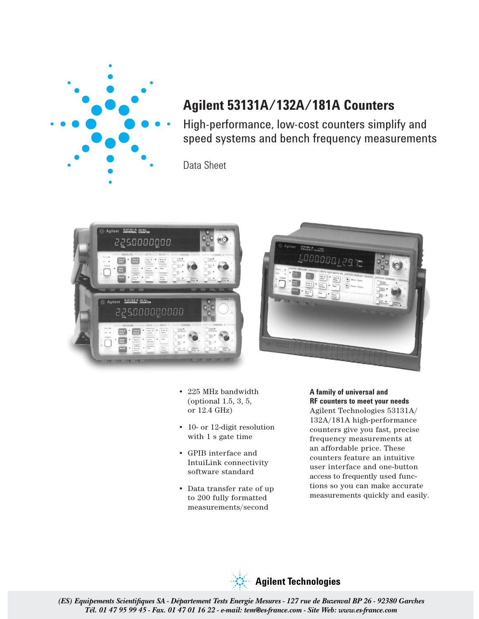

# **Agilent 53131A/132A/181A Counters**

High-performance, low-cost counters simplify and speed systems and bench frequency measurements

Data Sheet





- 225 MHz bandwidth (optional 1.5, 3, 5, or 12.4 GHz)
- 10- or 12-digit resolution with 1 s gate time
- GPIB interface and IntuiLink connectivity software standard
- Data transfer rate of up to 200 fully formatted measurements/second

# **A family of universal and RF counters to meet your needs**

Agilent Technologies 53131A/ 132A/181A high-performance counters give you fast, precise frequency measurements at an affordable price. These counters feature an intuitive user interface and one-button access to frequently used functions so you can make accurate measurements quickly and easily.

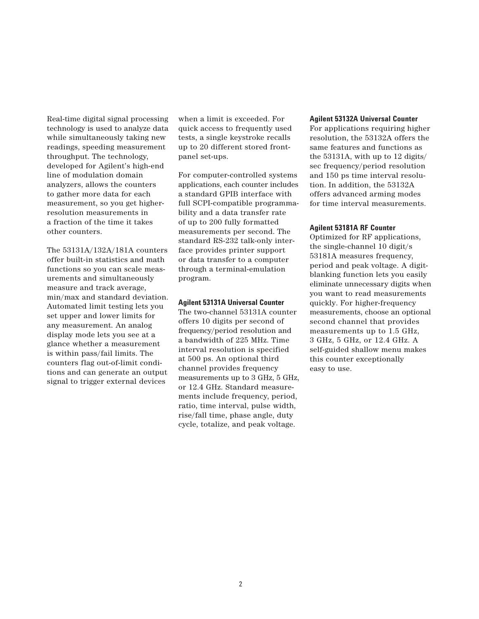Real-time digital signal processing technology is used to analyze data while simultaneously taking new readings, speeding measurement throughput. The technology, developed for Agilent's high-end line of modulation domain analyzers, allows the counters to gather more data for each measurement, so you get higherresolution measurements in a fraction of the time it takes other counters.

The 53131A/132A/181A counters offer built-in statistics and math functions so you can scale measurements and simultaneously measure and track average, min/max and standard deviation. Automated limit testing lets you set upper and lower limits for any measurement. An analog display mode lets you see at a glance whether a measurement is within pass/fail limits. The counters flag out-of-limit conditions and can generate an output signal to trigger external devices

when a limit is exceeded. For quick access to frequently used tests, a single keystroke recalls up to 20 different stored frontpanel set-ups.

For computer-controlled systems applications, each counter includes a standard GPIB interface with full SCPI-compatible programmability and a data transfer rate of up to 200 fully formatted measurements per second. The standard RS-232 talk-only interface provides printer support or data transfer to a computer through a terminal-emulation program.

### **Agilent 53131A Universal Counter**

The two-channel 53131A counter offers 10 digits per second of frequency/period resolution and a bandwidth of 225 MHz. Time interval resolution is specified at 500 ps. An optional third channel provides frequency measurements up to 3 GHz, 5 GHz, or 12.4 GHz. Standard measurements include frequency, period, ratio, time interval, pulse width, rise/fall time, phase angle, duty cycle, totalize, and peak voltage.

#### **Agilent 53132A Universal Counter**

For applications requiring higher resolution, the 53132A offers the same features and functions as the 53131A, with up to 12 digits/ sec frequency/period resolution and 150 ps time interval resolution. In addition, the 53132A offers advanced arming modes for time interval measurements.

### **Agilent 53181A RF Counter**

Optimized for RF applications, the single-channel 10 digit/s 53181A measures frequency, period and peak voltage. A digitblanking function lets you easily eliminate unnecessary digits when you want to read measurements quickly. For higher-frequency measurements, choose an optional second channel that provides measurements up to 1.5 GHz, 3 GHz, 5 GHz, or 12.4 GHz. A self-guided shallow menu makes this counter exceptionally easy to use.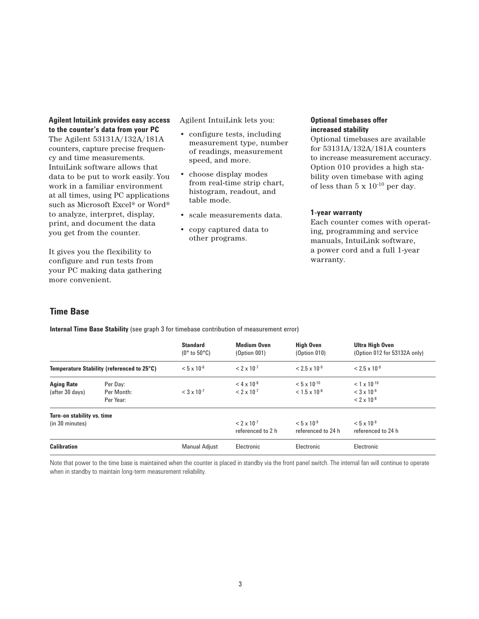# **Agilent IntuiLink provides easy access to the counter's data from your PC**

The Agilent 53131A/132A/181A counters, capture precise frequency and time measurements. IntuiLink software allows that data to be put to work easily. You work in a familiar environment at all times, using PC applications such as Microsoft Excel® or Word® to analyze, interpret, display, print, and document the data you get from the counter.

It gives you the flexibility to configure and run tests from your PC making data gathering more convenient.

Agilent IntuiLink lets you:

- configure tests, including measurement type, number of readings, measurement speed, and more.
- choose display modes from real-time strip chart, histogram, readout, and table mode.
- scale measurements data.
- copy captured data to other programs.

# **Optional timebases offer increased stability**

Optional timebases are available for 53131A/132A/181A counters to increase measurement accuracy. Option 010 provides a high stability oven timebase with aging of less than  $5 \times 10^{-10}$  per day.

# **1-year warranty**

Each counter comes with operating, programming and service manuals, IntuiLink software, a power cord and a full 1-year warranty.

# **Time Base**

**Internal Time Base Stability** (see graph 3 for timebase contribution of measurement error)

|                                               |                                            | <b>Standard</b><br>(0° to 50°C) | <b>Medium Oven</b><br>(Option 001)               | <b>High Oven</b><br>(Option 010)                | Ultra High Oven<br>(Option 012 for 53132A only)                           |
|-----------------------------------------------|--------------------------------------------|---------------------------------|--------------------------------------------------|-------------------------------------------------|---------------------------------------------------------------------------|
|                                               | Temperature Stability (referenced to 25°C) | $< 5 \times 10^{-6}$            | $< 2 \times 10^{-7}$                             | $< 2.5 \times 10^{-9}$                          | $< 2.5 \times 10^{-9}$                                                    |
| <b>Aging Rate</b><br>(after 30 days)          | Per Day:<br>Per Month:<br>Per Year:        | $<$ 3 x 10 <sup>-7</sup>        | $<$ 4 x 10 <sup>-8</sup><br>$< 2 \times 10^{-7}$ | $< 5 \times 10^{-10}$<br>$< 1.5 \times 10^{-8}$ | $< 1 \times 10^{-10}$<br>$<$ 3 x 10 <sup>-9</sup><br>$< 2 \times 10^{-8}$ |
| Turn-on stability vs. time<br>(in 30 minutes) |                                            |                                 | $< 2 \times 10^{-7}$<br>referenced to 2 h        | $< 5 \times 10^{-9}$<br>referenced to 24 h      | $< 5 \times 10^{-9}$<br>referenced to 24 h                                |
| <b>Calibration</b>                            |                                            | <b>Manual Adjust</b>            | Electronic                                       | Electronic                                      | Electronic                                                                |

Note that power to the time base is maintained when the counter is placed in standby via the front panel switch. The internal fan will continue to operate when in standby to maintain long-term measurement reliability.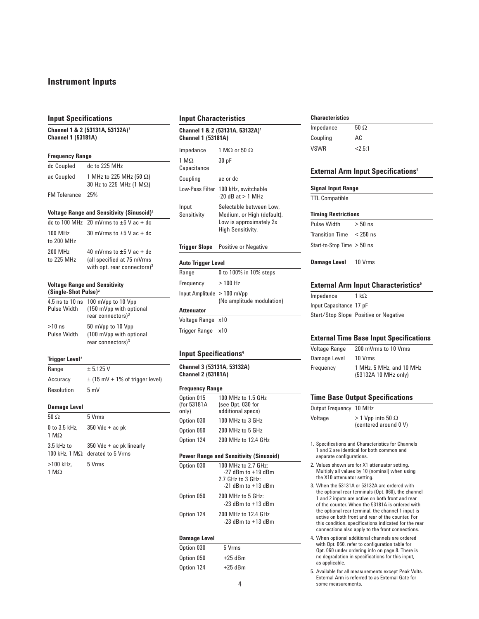# **Instrument Inputs**

#### **Input Specifications**

**Channel 1 & 2 (53131A, 53132A)1 Channel 1 (53181A)**

### **Frequency Range**

| dc Coupled       | dc to 225 MHz                                                       |
|------------------|---------------------------------------------------------------------|
| ac Coupled       | 1 MHz to 225 MHz (50 $\Omega$ )<br>30 Hz to 225 MHz (1 M $\Omega$ ) |
| FM Tolerance 25% |                                                                     |

### **Voltage Range and Sensitivity (Sinusoid)2**

|                                     | dc to 100 MHz 20 mVrms to $\pm 5$ V ac + dc                                                    |
|-------------------------------------|------------------------------------------------------------------------------------------------|
| $100$ MH <sub>z</sub><br>to 200 MHz | 30 mVrms to $\pm 5$ V ac + dc                                                                  |
| 200 MHz<br>to 225 MHz               | 40 mVrms to $\pm 5$ V ac + dc<br>(all specified at 75 mVrms)<br>with opt. rear connectors) $3$ |

#### **Voltage Range and Sensitivity (Single-Shot Pulse)2**

| Pulse Width                    | 4.5 ns to 10 ns 100 mVpp to 10 Vpp<br>(150 mVpp with optional<br>rear connectors) $3$ |
|--------------------------------|---------------------------------------------------------------------------------------|
| $>10$ ns<br><b>Pulse Width</b> | 50 mVpp to 10 Vpp<br>(100 mVpp with optional<br>rear connectors) $3$                  |

#### **Trigger Level <sup>2</sup>**

| Range      | ± 5.125 V                           |
|------------|-------------------------------------|
| Accuracy   | $\pm$ (15 mV + 1% of trigger level) |
| Resolution | 5mV                                 |

#### **Damage Level**

| $50 \Omega$                     | 5 Vrms                                                                |
|---------------------------------|-----------------------------------------------------------------------|
| 1 M $\Omega$                    | 0 to 3.5 kHz, $350$ Vdc + ac pk                                       |
| 3.5 kHz to                      | $350$ Vdc + ac pk linearly<br>100 kHz. 1 M $\Omega$ derated to 5 Vrms |
| $>100$ kHz.<br>1 M <sub>2</sub> | 5 Vrms                                                                |

#### **Input Characteristics**

| Channel 1 & 2 (53131A, 53132A) <sup>1</sup><br><b>Channel 1 (53181A)</b> |                                                                                                       |  |
|--------------------------------------------------------------------------|-------------------------------------------------------------------------------------------------------|--|
| Impedance                                                                | 1 M $\Omega$ or 50 $\Omega$                                                                           |  |
| 1 M $\Omega$<br>Capacitance                                              | 30 pF                                                                                                 |  |
| Coupling                                                                 | ac or dc                                                                                              |  |
|                                                                          | Low-Pass Filter 100 kHz, switchable<br>$-20$ dB at $> 1$ MHz                                          |  |
| Input<br>Sensitivity                                                     | Selectable between Low.<br>Medium, or High (default).<br>Low is approximately 2x<br>High Sensitivity. |  |
|                                                                          | <b>Trigger Slope</b> Positive or Negative                                                             |  |
| Auto Trigger Level                                                       |                                                                                                       |  |
| Range                                                                    | በ to 1በበ% in 1በ% stens                                                                                |  |

| Range                      | 0 to 100% in 10% steps    |
|----------------------------|---------------------------|
| Frequency                  | $>100$ Hz                 |
| Input Amplitude > 100 mVpp | (No amplitude modulation) |
| Attenuator                 |                           |

# Voltage Range x10

Trigger Range x10

### **Input Specifications4**

**Channel 3 (53131A, 53132A) Channel 2 (53181A)**

#### **Frequency Range**

| Option 015<br>(for 53181A<br>only) | 100 MHz to 1.5 GHz<br>(see Opt. 030 for<br>additional specs) |
|------------------------------------|--------------------------------------------------------------|
| Option 030                         | 100 MHz to 3 GHz                                             |
| Option 050                         | 200 MHz to 5 GHz                                             |
| Option 124                         | 200 MHz to 12.4 GHz                                          |

#### **Power Range and Sensitivity (Sinusoid)**

| Option 030 | 100 MHz to 2.7 GHz:<br>$-27$ dBm to $+19$ dBm<br>2.7 GHz to 3 GHz:<br>$-21$ dBm to $+13$ dBm |
|------------|----------------------------------------------------------------------------------------------|
| Option 050 | 200 MHz to 5 GHz:<br>$-23$ dBm to $+13$ dBm                                                  |
| Option 124 | 200 MHz to 12.4 GHz<br>$-23$ dBm to $+13$ dBm                                                |

#### **Damage Level**

| Option 030 | 5 Vrms    |
|------------|-----------|
| Option 050 | $+25$ dBm |
| Option 124 | $+25$ dBm |

#### **Characteristics**

| Impedance   | 50 $\Omega$ |
|-------------|-------------|
| Coupling    | AC          |
| <b>VSWR</b> | < 2.5:1     |

### **External Arm Input Specifications<sup>5</sup>**

#### **Signal Input Range**

TTL Compatible

#### **Timing Restrictions**

Pulse Width  $> 50$  ns Transition Time < 250 ns Start-to-Stop Time > 50 ns

**Damage Level** 10 Vrms

### **External Arm Input Characteristics**<sup>5</sup>

Impedance 1 kΩ Input Capacitance 17 pF Start/Stop Slope Positive or Negative

#### **External Time Base Input Specifications**

| Voltage Range | 200 mVrms to 10 Vrms                             |
|---------------|--------------------------------------------------|
| Damage Level  | 10 Vrms                                          |
| Frequency     | 1 MHz. 5 MHz. and 10 MHz<br>(53132A 10 MHz only) |

#### **Time Base Output Specifications**

| Output Frequency | 10 MHz                                              |
|------------------|-----------------------------------------------------|
| Voltage          | $>$ 1 Vpp into 50 $\Omega$<br>(centered around 0 V) |

1. Specifications and Characteristics for Channels 1 and 2 are identical for both common and separate configurations.

- 2. Values shown are for X1 attenuator setting. Multiply all values by 10 (nominal) when using the X10 attenuator setting.
- 3. When the 53131A or 53132A are ordered with the optional rear terminals (Opt. 060), the channel 1 and 2 inputs are active on both front and rear of the counter. When the 53181A is ordered with the optional rear terminal, the channel 1 input is active on both front and rear of the counter. For this condition, specifications indicated for the rear connections also apply to the front connections.
- 4. When optional additional channels are ordered with Opt. 060, refer to configuration table for Opt. 060 under ordering info on page 8. There is no degradation in specifications for this input, as applicable.

5. Available for all measurements except Peak Volts. External Arm is referred to as External Gate for 4 some measurements.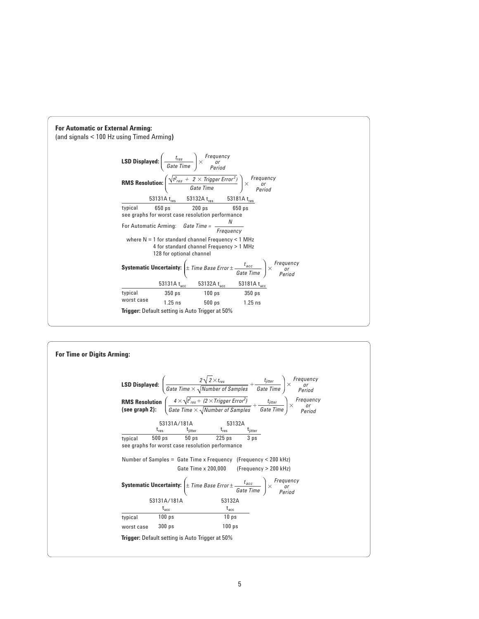

| <b>For Time or Digits Arming:</b> |                                                                                                                                                                                                                                                                                                                                                                                                                                                                                  |  |
|-----------------------------------|----------------------------------------------------------------------------------------------------------------------------------------------------------------------------------------------------------------------------------------------------------------------------------------------------------------------------------------------------------------------------------------------------------------------------------------------------------------------------------|--|
|                                   | <b>LSD Displayed:</b> $\left(\frac{2\sqrt{2} \times t_{res}}{Gate\ Time} \times \frac{1}{\sqrt{Number\ of\ Samples}} + \frac{t_{jitter}}{Gate\ Time}\right) \times \begin{array}{c} Frequency \ prequency \ premod{4} \end{array}$<br><b>RMS Resolution</b> $\left(\frac{4 \times \sqrt{t_{res}^2 + (2 \times Trigger Error^2)}}{Gate Time \times \sqrt{Number of Samples}} + \frac{t_{jitter}}{Gate Time}\right) \times \begin{array}{c} Frequency \\ or \\ Period \end{array}$ |  |
|                                   | $\begin{array}{ccc}\n53131A/181A & 331\omega\text{m} \\ \frac{t_{res}}{2} & \frac{t_{jitter}}{2} & \frac{t_{is}}{2} & \frac{t_{jitter}}{2}\n\end{array}$<br>500 ps<br>typical<br>see graphs for worst case resolution performance                                                                                                                                                                                                                                                |  |
|                                   | Number of Samples = Gate Time x Frequency (Frequency < 200 kHz)<br>Gate Time $x 200,000$ (Frequency $> 200$ kHz)                                                                                                                                                                                                                                                                                                                                                                 |  |
|                                   | <b>Systematic Uncertainty:</b> $\left(\pm \text{ Time Base Error} \pm \frac{t_{acc}}{\text{Gate Time}}\right) \times \begin{array}{c} \text{Frequency} \\ \text{or} \\ \text{Period} \end{array}$                                                                                                                                                                                                                                                                                |  |
|                                   | 53131A/181A<br>53132A<br>$t_{\rm acc}$<br>$t_{\rm acc}$                                                                                                                                                                                                                                                                                                                                                                                                                          |  |
|                                   | $100$ ps<br>10 <sub>ps</sub><br>typical                                                                                                                                                                                                                                                                                                                                                                                                                                          |  |
|                                   | 300 <sub>ps</sub><br>100 <sub>ps</sub><br>worst case                                                                                                                                                                                                                                                                                                                                                                                                                             |  |
|                                   | <b>Trigger:</b> Default setting is Auto Trigger at 50%                                                                                                                                                                                                                                                                                                                                                                                                                           |  |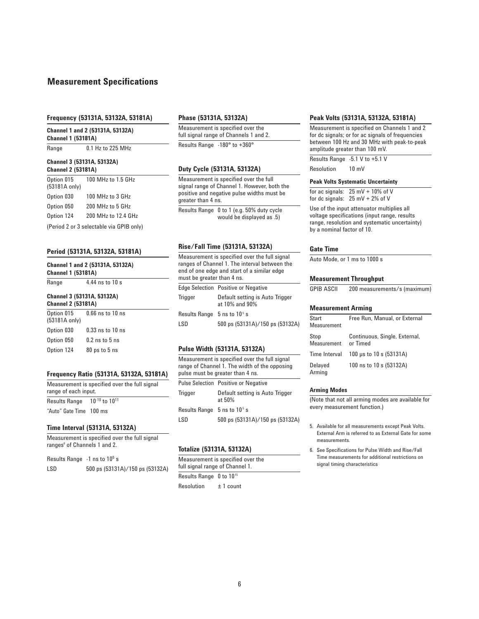# **Measurement Specifications**

#### **Frequency (53131A, 53132A, 53181A)**

**Channel 1 and 2 (53131A, 53132A) Channel 1 (53181A)**

Range 0.1 Hz to 225 MHz

#### **Channel 3 (53131A, 53132A) Channel 2 (53181A)**

| Option 015<br>(53181A only) | 100 MHz to 1.5 GHz                                      |
|-----------------------------|---------------------------------------------------------|
| Option 030                  | 100 MHz to 3 GHz                                        |
| Option 050                  | 200 MHz to 5 GHz                                        |
| Option 124                  | 200 MHz to 12.4 GHz                                     |
|                             | $\sim$ $\sim$ $\sim$ $\sim$ $\sim$ $\sim$ $\sim$ $\sim$ |

(Period 2 or 3 selectable via GPIB only)

#### **Period (53131A, 53132A, 53181A)**

**Channel 1 and 2 (53131A, 53132A)**

| <b>Channel 1 (53181A)</b>                               | Unannel 1 and 2 (93131A, 93132A) |
|---------------------------------------------------------|----------------------------------|
| Range                                                   | 4.44 ns to 10 s                  |
| Channel 3 (53131A, 53132A)<br><b>Channel 2 (53181A)</b> |                                  |

| Option 015<br>(53181A only) | $0.66$ ns to $10$ ns |
|-----------------------------|----------------------|
| Option 030                  | $0.33$ ns to $10$ ns |
| Option 050                  | $0.2$ ns to $5$ ns   |
| Option 124                  | 80 ps to 5 ns        |

# **Frequency Ratio (53131A, 53132A, 53181A)**

| Measurement is specified over the full signal<br>range of each input. |                         |  |
|-----------------------------------------------------------------------|-------------------------|--|
| <b>Results Range</b>                                                  | $10^{-10}$ to $10^{11}$ |  |
| "Auto" Gate Time 100 ms                                               |                         |  |

# **Time Interval (53131A, 53132A)**

Measurement is specified over the full signal ranges<sup>6</sup> of Channels 1 and 2.

| Results Range $-1$ ns to $10^5$ s |       |         |
|-----------------------------------|-------|---------|
| $\sqrt{2}$                        | $-00$ | $1 - 0$ |

LSD 500 ps (53131A)/150 ps (53132A)

#### **Phase (53131A, 53132A)**

Measurement is specified over the full signal range of Channels 1 and 2. Results Range -180° to +360°

### **Duty Cycle (53131A, 53132A)**

Measurement is specified over the full signal range of Channel 1. However, both the positive and negative pulse widths must be greater than 4 ns.

Results Range 0 to 1 (e.g. 50% duty cycle would be displayed as .5)

#### **Rise/Fall Time (53131A, 53132A)**

Measurement is specified over the full signal ranges of Channel 1. The interval between the end of one edge and start of a similar edge must be greater than 4 ns. Edge Selection Positive or Negative Trigger Default setting is Auto Trigger at 10% and 90% Results Range  $5$  ns to  $10<sup>5</sup>$  s LSD 500 ps (53131A)/150 ps (53132A)

#### **Pulse Width (53131A, 53132A)**

Measurement is specified over the full signal range of Channel 1. The width of the opposing pulse must be greater than 4 ns.

|                                 | <b>Pulse Selection Positive or Negative</b> |
|---------------------------------|---------------------------------------------|
| <b>Trigger</b>                  | Default setting is Auto Trigger<br>at 50%   |
| Results Range $5$ ns to $105$ s |                                             |
| I SD                            | 500 ps (53131A)/150 ps (53132A)             |

#### **Totalize (53131A, 53132A)**

| Measurement is specified over the   |  |
|-------------------------------------|--|
| full signal range of Channel 1.     |  |
| Results Range 0 to 10 <sup>15</sup> |  |

Resolution ± 1 count

#### **Peak Volts (53131A, 53132A, 53181A)**

Measurement is specified on Channels 1 and 2 for dc signals; or for ac signals of frequencies between 100 Hz and 30 MHz with peak-to-peak amplitude greater than 100 mV.

Results Range -5.1 V to +5.1 V

Resolution 10 mV

#### **Peak Volts Systematic Uncertainty**

for ac signals:  $25 \text{ mV} + 10\%$  of V for dc signals:  $25 \text{ mV} + 2\%$  of V

Use of the input attenuator multiplies all voltage specifications (input range, results range, resolution and systematic uncertainty) by a nominal factor of 10.

#### **Gate Time**

Auto Mode, or 1 ms to 1000 s

#### **Measurement Throughput**

| GPIB ASCII | 200 measurements/s (maximum) |  |
|------------|------------------------------|--|
|------------|------------------------------|--|

#### **Measurement Arming**

| Start<br>Measurement | Free Run, Manual, or External             |
|----------------------|-------------------------------------------|
| Stop<br>Measurement  | Continuous, Single, External,<br>or Timed |
| Time Interval        | 100 µs to 10 s (53131A)                   |
| Delayed<br>Arming    | 100 ns to 10 s (53132A)                   |

#### **Arming Modes**

(Note that not all arming modes are available for every measurement function.)

- 5. Available for all measurements except Peak Volts. External Arm is referred to as External Gate for some measurements.
- 6. See Specifications for Pulse Width and Rise/Fall Time measurements for additional restrictions on signal timing characteristics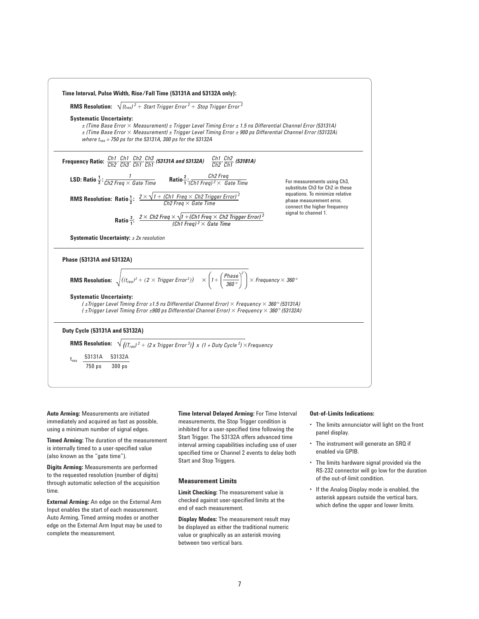

**Auto Arming:** Measurements are initiated immediately and acquired as fast as possible, using a minimum number of signal edges.

**Timed Arming:** The duration of the measurement is internally timed to a user-specified value (also known as the "gate time").

**Digits Arming:** Measurements are performed to the requested resolution (number of digits) through automatic selection of the acquisition time.

**External Arming:** An edge on the External Arm Input enables the start of each measurement. Auto Arming, Timed arming modes or another edge on the External Arm Input may be used to complete the measurement.

**Time Interval Delayed Arming:** For Time Interval measurements, the Stop Trigger condition is inhibited for a user-specified time following the Start Trigger. The 53132A offers advanced time interval arming capabilities including use of user specified time or Channel 2 events to delay both Start and Stop Triggers.

#### **Measurement Limits**

**Limit Checking:** The measurement value is checked against user-specified limits at the end of each measurement.

**Display Modes:** The measurement result may be displayed as either the traditional numeric value or graphically as an asterisk moving between two vertical bars.

#### **Out-of-Limits Indications:**

- The limits annunciator will light on the front panel display.
- The instrument will generate an SRQ if enabled via GPIB.
- The limits hardware signal provided via the RS-232 connector will go low for the duration of the out-of-limit condition.
- If the Analog Display mode is enabled, the asterisk appears outside the vertical bars, which define the upper and lower limits.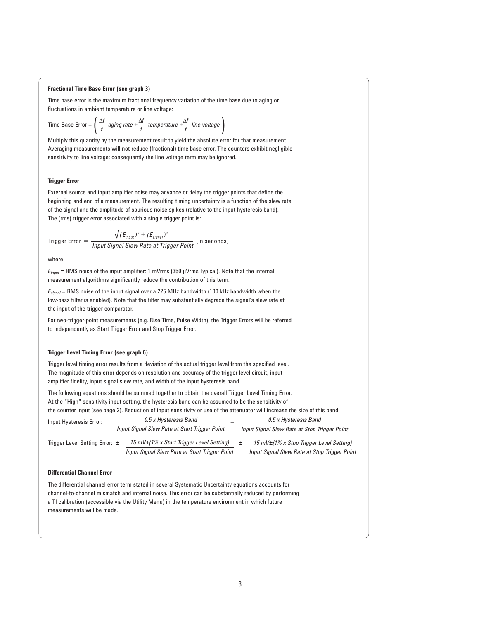#### **Fractional Time Base Error (see graph 3)**

Time base error is the maximum fractional frequency variation of the time base due to aging or fluctuations in ambient temperature or line voltage:

Time Base Error = 
$$
\left(\frac{\Delta f}{f} \text{aging rate} + \frac{\Delta f}{f} \text{ temperature} + \frac{\Delta f}{f} \text{ line voltage}\right)
$$

Multiply this quantity by the measurement result to yield the absolute error for that measurement. Averaging measurements will not reduce (fractional) time base error. The counters exhibit negligible sensitivity to line voltage; consequently the line voltage term may be ignored.

### **Trigger Error**

External source and input amplifier noise may advance or delay the trigger points that define the beginning and end of a measurement. The resulting timing uncertainty is a function of the slew rate of the signal and the amplitude of spurious noise spikes (relative to the input hysteresis band). The (rms) trigger error associated with a single trigger point is:

$$
\text{Trigger Error} = \frac{\sqrt{(E_{input})^2 + (E_{signal})^2}}{\text{Input Signal Skew Rate at Trigger Point}} \text{ (in seconds)}
$$

where

*Einput* = RMS noise of the input amplifier: 1 mVrms (350 µVrms Typical). Note that the internal measurement algorithms significantly reduce the contribution of this term.

*Esignal* = RMS noise of the input signal over a 225 MHz bandwidth (100 kHz bandwidth when the low-pass filter is enabled). Note that the filter may substantially degrade the signal's slew rate at the input of the trigger comparator.

For two-trigger-point measurements (e.g. Rise Time, Pulse Width), the Trigger Errors will be referred to independently as Start Trigger Error and Stop Trigger Error.

#### **Trigger Level Timing Error (see graph 6)**

Trigger level timing error results from a deviation of the actual trigger level from the specified level. The magnitude of this error depends on resolution and accuracy of the trigger level circuit, input amplifier fidelity, input signal slew rate, and width of the input hysteresis band.

The following equations should be summed together to obtain the overall Trigger Level Timing Error. At the "High" sensitivity input setting, the hysteresis band can be assumed to be the sensitivity of the counter input (see page 2). Reduction of input sensitivity or use of the attenuator will increase the size of this band.

| Input Hysteresis Error:        | 0.5 x Hysteresis Band                                  |                                              | 0.5 x Hysteresis Band                         |  |
|--------------------------------|--------------------------------------------------------|----------------------------------------------|-----------------------------------------------|--|
|                                | Input Signal Slew Rate at Start Trigger Point          | Input Signal Slew Rate at Stop Trigger Point |                                               |  |
| Trigger Level Setting Error: ± | $15 \text{ mV} \pm 1\%$ x Start Trigger Level Setting) |                                              | 15 mV $\pm$ (1% x Stop Trigger Level Setting) |  |
|                                | Input Signal Slew Rate at Start Trigger Point          |                                              | Input Signal Slew Rate at Stop Trigger Point  |  |
|                                |                                                        |                                              |                                               |  |

#### **Differential Channel Error**

The differential channel error term stated in several Systematic Uncertainty equations accounts for channel-to-channel mismatch and internal noise. This error can be substantially reduced by performing a TI calibration (accessible via the Utility Menu) in the temperature environment in which future measurements will be made.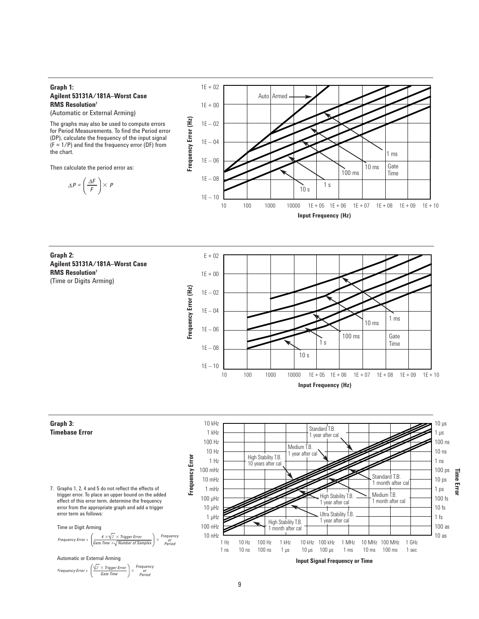# **Graph 1: Agilent 53131A/181A–Worst Case RMS Resolution7**

(Automatic or External Arming)

The graphs may also be used to compute errors for Period Measurements. To find the Period error (DP), calculate the frequency of the input signal  $(F = 1/P)$  and find the frequency error (DF) from the chart.

Then calculate the period error as:

 $\Delta P = \left(\frac{\Delta F}{F}\right) \times P$ 



**Graph 2: Agilent 53131A/181A–Worst Case RMS Resolution7**  (Time or Digits Arming)



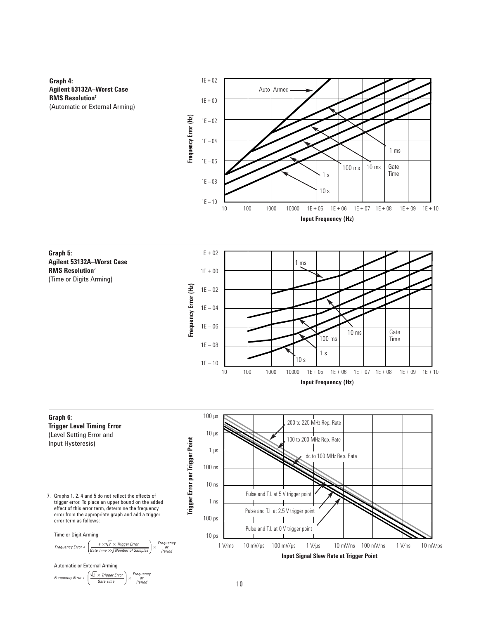**Graph 4: Agilent 53132A–Worst Case RMS Resolution7** (Automatic or External Arming)



**Graph 5: Agilent 53132A–Worst Case RMS Resolution7** (Time or Digits Arming)





or Period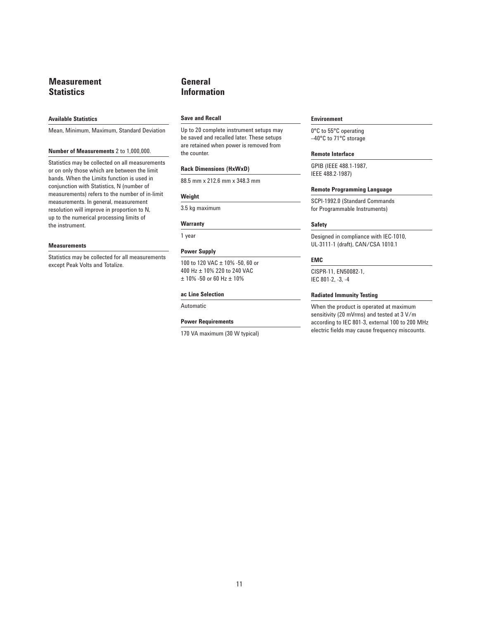# **Measurement Statistics**

#### **Available Statistics**

Mean, Minimum, Maximum, Standard Deviation

#### **Number of Measurements** 2 to 1,000,000.

Statistics may be collected on all measurements or on only those which are between the limit bands. When the Limits function is used in conjunction with Statistics, N (number of measurements) refers to the number of in-limit measurements. In general, measurement resolution will improve in proportion to N, up to the numerical processing limits of the instrument.

#### **Measurements**

Statistics may be collected for all measurements except Peak Volts and Totalize.

# **General Information**

### **Save and Recall**

Up to 20 complete instrument setups may be saved and recalled later. These setups are retained when power is removed from the counter.

#### **Rack Dimensions (HxWxD)**

88.5 mm x 212.6 mm x 348.3 mm

#### **Weight**

3.5 kg maximum

#### **Warranty**

1 year

#### **Power Supply**

100 to 120 VAC ± 10% -50, 60 or 400 Hz ± 10% 220 to 240 VAC ± 10% -50 or 60 Hz ± 10%

#### **ac Line Selection**

# Automatic

#### **Power Requirements**

170 VA maximum (30 W typical)

#### **Environment**

0°C to 55°C operating –40°C to 71°C storage

# **Remote Interface**

GPIB (IEEE 488.1-1987, IEEE 488.2-1987)

#### **Remote Programming Language**

SCPI-1992.0 (Standard Commands for Programmable Instruments)

#### **Safety**

Designed in compliance with IEC-1010, UL-3111-1 (draft), CAN/CSA 1010.1

#### **EMC**

CISPR-11, EN50082-1, IEC 801-2, -3, -4

#### **Radiated Immunity Testing**

When the product is operated at maximum sensitivity (20 mVrms) and tested at 3 V/m according to IEC 801-3, external 100 to 200 MHz electric fields may cause frequency miscounts.